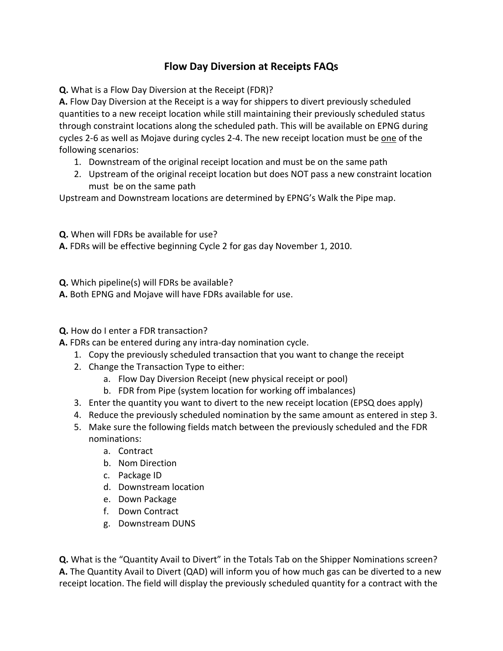## **Flow Day Diversion at Receipts FAQs**

**Q.** What is a Flow Day Diversion at the Receipt (FDR)?

**A.** Flow Day Diversion at the Receipt is a way for shippers to divert previously scheduled quantities to a new receipt location while still maintaining their previously scheduled status through constraint locations along the scheduled path. This will be available on EPNG during cycles 2-6 as well as Mojave during cycles 2-4. The new receipt location must be one of the following scenarios:

- 1. Downstream of the original receipt location and must be on the same path
- 2. Upstream of the original receipt location but does NOT pass a new constraint location must be on the same path

Upstream and Downstream locations are determined by EPNG's Walk the Pipe map.

**Q.** When will FDRs be available for use?

**A.** FDRs will be effective beginning Cycle 2 for gas day November 1, 2010.

**Q.** Which pipeline(s) will FDRs be available?

**A.** Both EPNG and Mojave will have FDRs available for use.

**Q.** How do I enter a FDR transaction?

**A.** FDRs can be entered during any intra-day nomination cycle.

- 1. Copy the previously scheduled transaction that you want to change the receipt
- 2. Change the Transaction Type to either:
	- a. Flow Day Diversion Receipt (new physical receipt or pool)
	- b. FDR from Pipe (system location for working off imbalances)
- 3. Enter the quantity you want to divert to the new receipt location (EPSQ does apply)
- 4. Reduce the previously scheduled nomination by the same amount as entered in step 3.
- 5. Make sure the following fields match between the previously scheduled and the FDR nominations:
	- a. Contract
	- b. Nom Direction
	- c. Package ID
	- d. Downstream location
	- e. Down Package
	- f. Down Contract
	- g. Downstream DUNS

**Q.** What is the "Quantity Avail to Divert" in the Totals Tab on the Shipper Nominations screen? **A.** The Quantity Avail to Divert (QAD) will inform you of how much gas can be diverted to a new receipt location. The field will display the previously scheduled quantity for a contract with the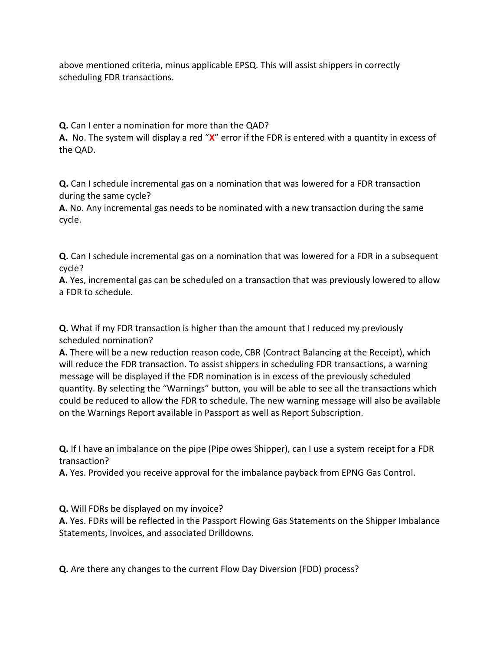above mentioned criteria, minus applicable EPSQ. This will assist shippers in correctly scheduling FDR transactions.

**Q.** Can I enter a nomination for more than the QAD?

**A.** No. The system will display a red "**X**" error if the FDR is entered with a quantity in excess of the QAD.

**Q.** Can I schedule incremental gas on a nomination that was lowered for a FDR transaction during the same cycle?

**A.** No. Any incremental gas needs to be nominated with a new transaction during the same cycle.

**Q.** Can I schedule incremental gas on a nomination that was lowered for a FDR in a subsequent cycle?

**A.** Yes, incremental gas can be scheduled on a transaction that was previously lowered to allow a FDR to schedule.

**Q.** What if my FDR transaction is higher than the amount that I reduced my previously scheduled nomination?

**A.** There will be a new reduction reason code, CBR (Contract Balancing at the Receipt), which will reduce the FDR transaction. To assist shippers in scheduling FDR transactions, a warning message will be displayed if the FDR nomination is in excess of the previously scheduled quantity. By selecting the "Warnings" button, you will be able to see all the transactions which could be reduced to allow the FDR to schedule. The new warning message will also be available on the Warnings Report available in Passport as well as Report Subscription.

**Q.** If I have an imbalance on the pipe (Pipe owes Shipper), can I use a system receipt for a FDR transaction?

**A.** Yes. Provided you receive approval for the imbalance payback from EPNG Gas Control.

**Q.** Will FDRs be displayed on my invoice?

**A.** Yes. FDRs will be reflected in the Passport Flowing Gas Statements on the Shipper Imbalance Statements, Invoices, and associated Drilldowns.

**Q.** Are there any changes to the current Flow Day Diversion (FDD) process?